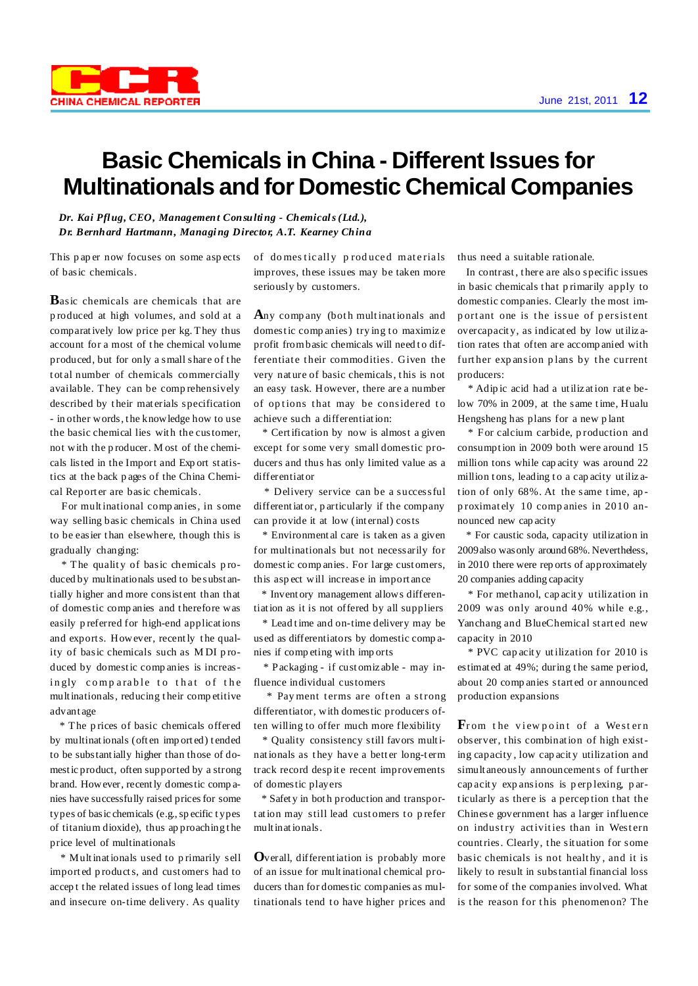

## **Basic Chemicals in China - Different Issues for Multinationals and for Domestic Chemical Companies**

*Dr. Kai Pflug, CEO, Management Consulting - Chemicals(Ltd.), Dr. Bernhard Hartmann, Managing Director, A.T. Kearney China*

This p ap er now focuses on some asp ects of basic chemicals.

**B**asic chemicals are chemicals that are p roduced at high volumes, and sold at a comparatively low price per kg. They thus account for a most of the chemical volume produced, but for only a small share of the t ot al number of chemicals commercially available. They can be comp rehensively described by t heir mat erials specification - in other words, t he knowledge how to use the basic chemical lies with the customer, not with the p roducer. M ost of the chemicals listed in the Import and Exp ort st atistics at the back p ages of the China Chemical Reporter are basic chemicals.

For multinational comp anies, in some way selling basic chemicals in China used to be easier t han elsewhere, though this is gradually changing:

\* The qualit y of basic chemicals p roduced by multinationals used to be subst antially higher and more consist ent than that of domestic comp anies and t herefore was easily p referred for high-end applications and exports. However, recently t he quality of basic chemicals such as MDI produced by domestic comp anies is increasingly comparable to that of the multinationals, reducing t heir comp etitive advant age

\* The p rices of basic chemicals offered by multinationals (often imported) tended to be substantially higher than those of domestic product, often supported by a strong brand. However, recently domestic comp anies have successfully raised pricesfor some types of basic chemicals (e.g., sp ecific types of titanium dioxide), thus ap proaching t he price level of multinationals

\* Multinationals used to p rimarily sell import ed p roducts, and cust omers had to accep t t he related issues of long lead times and insecure on-time delivery. As quality

of domestically produced materials improves, these issues may be taken more seriously by customers.

Any company (both multinationals and domestic companies) trying to maximize profit from basic chemicals will need to differentiate their commodities. Given the very nat ure of basic chemicals, t his is not an easy task. However, there are a number of options that may be considered to achieve such a differentiation:

\* Certification by now is almost a given except for some very small domestic producers and thus has only limited value as a differentiat or

\* Delivery service can be a successful differentiat or, p articularly if the company can provide it at low (int ernal) costs

\* Environment al care is taken as a given for multinationals but not necessarily for domestic comp anies. For large cust omers, this asp ect will increase in import ance

\* Invent ory management allows differentiation as it is not offered by all suppliers

\* Lead time and on-time delivery may be used as differentiators by domestic comp anies if comp eting with imp orts

\* Packaging - if cust omiz able - may influence individual customers

\* Payment terms are often a strong differentiator, with domestic producers often willing to offer much more flexibility

\* Quality consistency still favors multinationals as they have a better long-term track record despite recent improvements of domestic players

\* Safet y in bot h production and transportation may still lead customers to prefer multinationals.

**O**verall, differentiation is probably more of an issue for multinational chemical producers than for domestic companies as multinationals tend to have higher prices and thus need a suitable rationale.

In contrast, t here are also specific issues in basic chemicals t hat p rimarily apply to domestic companies. Clearly the most imp ortant one is the issue of persistent overcapacit y, as indicat ed by low utiliz ation rates that often are accomp anied with further expansion plans by the current producers:

\* Adip ic acid had a utiliz ation rat e below 70% in 2009, at the same time, Hualu Hengsheng has plans for a new p lant

\* For calcium carbide, p roduction and consumption in 2009 both were around 15 million tons while cap acity was around 22 million tons, leading to a cap acity utilization of only 68%. At the same time, ap p roximat ely 10 comp anies in 2010 announced new cap acity

\* For caustic soda, capacity utilization in 2009also wasonly around 68%. Nevertheless, in 2010 there were rep orts of approximately 20 companies adding capacity

\* For methanol, cap acit y utilization in 2009 was only around 40% while e.g., Yanchang and BlueChemical st art ed new capacity in 2010

\* PVC cap acit y utilization for 2010 is estimat ed at 49%; during t he same period, about 20 comp anies start ed or announced production expansions

From the viewpoint of a Western observer, t his combination of high existing capacity , low cap acit y utilization and simult aneously announcements of further cap acit y exp ansions is p erp lexing, p articularly as there is a perception that the Chinese government has a larger influence on industry activities than in Western countries. Clearly, t he sit uation for some basic chemicals is not healthy, and it is likely to result in substantial financial loss for some of the companies involved. What is the reason for this phenomenon? The